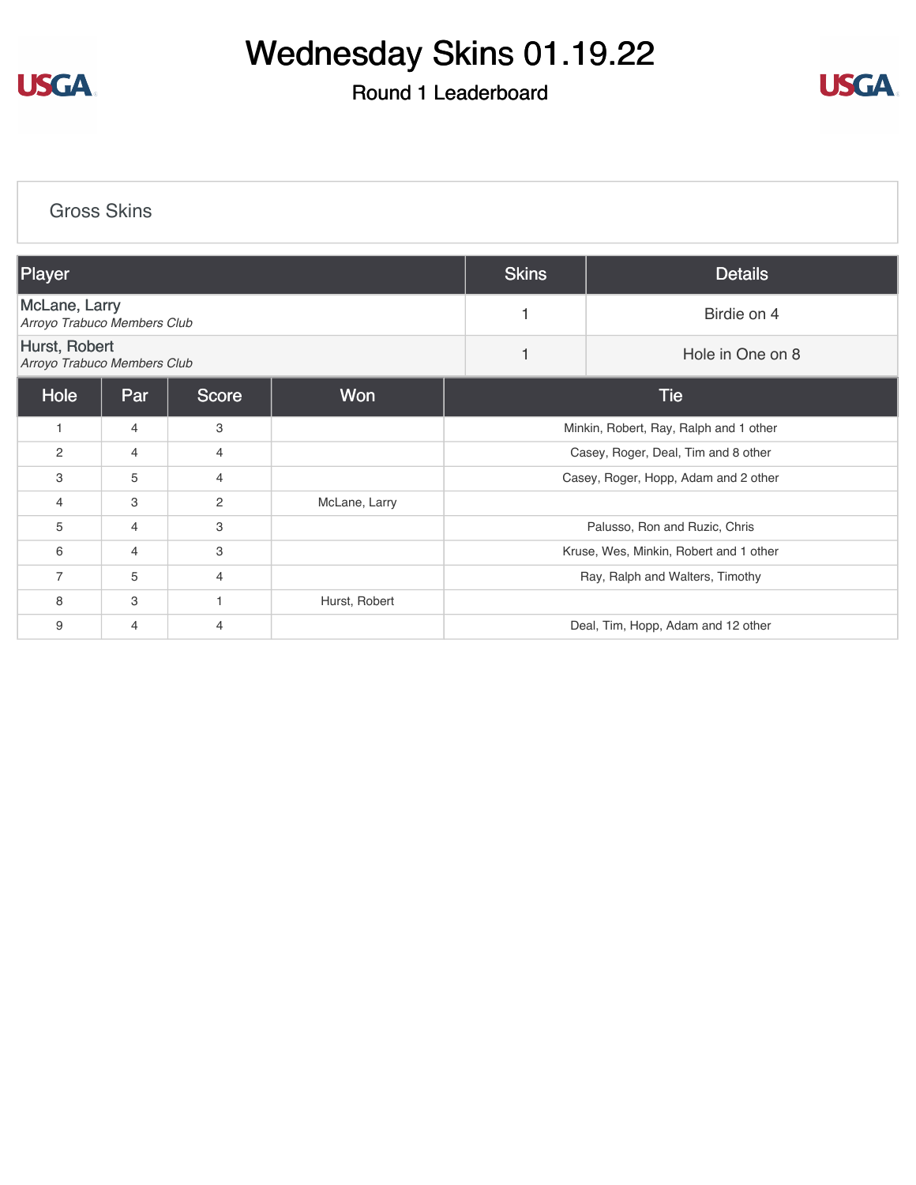

## Wednesday Skins 01.19.22

## Round 1 Leaderboard



[Gross Skins](https://cdn2.golfgenius.com/v2tournaments/8140806973592461746?called_from=&round_index=1)

| Player                                              |     |                |               | <b>Skins</b>                           | <b>Details</b>   |  |  |  |
|-----------------------------------------------------|-----|----------------|---------------|----------------------------------------|------------------|--|--|--|
| <b>McLane, Larry</b><br>Arroyo Trabuco Members Club |     |                |               |                                        | Birdie on 4      |  |  |  |
| Hurst, Robert<br>Arroyo Trabuco Members Club        |     |                |               |                                        | Hole in One on 8 |  |  |  |
| Hole                                                | Par | Score          | Won           | Tie                                    |                  |  |  |  |
| $\mathbf{1}$                                        | 4   | 3              |               | Minkin, Robert, Ray, Ralph and 1 other |                  |  |  |  |
| 2                                                   | 4   | 4              |               | Casey, Roger, Deal, Tim and 8 other    |                  |  |  |  |
| 3                                                   | 5   | $\overline{4}$ |               | Casey, Roger, Hopp, Adam and 2 other   |                  |  |  |  |
| 4                                                   | 3   | $\overline{2}$ | McLane, Larry |                                        |                  |  |  |  |
| 5                                                   | 4   | 3              |               | Palusso, Ron and Ruzic, Chris          |                  |  |  |  |
| 6                                                   | 4   | 3              |               | Kruse, Wes, Minkin, Robert and 1 other |                  |  |  |  |
| $\overline{7}$                                      | 5   | 4              |               | Ray, Ralph and Walters, Timothy        |                  |  |  |  |
| 8                                                   | 3   |                | Hurst, Robert |                                        |                  |  |  |  |
| 9                                                   | 4   | 4              |               | Deal, Tim, Hopp, Adam and 12 other     |                  |  |  |  |